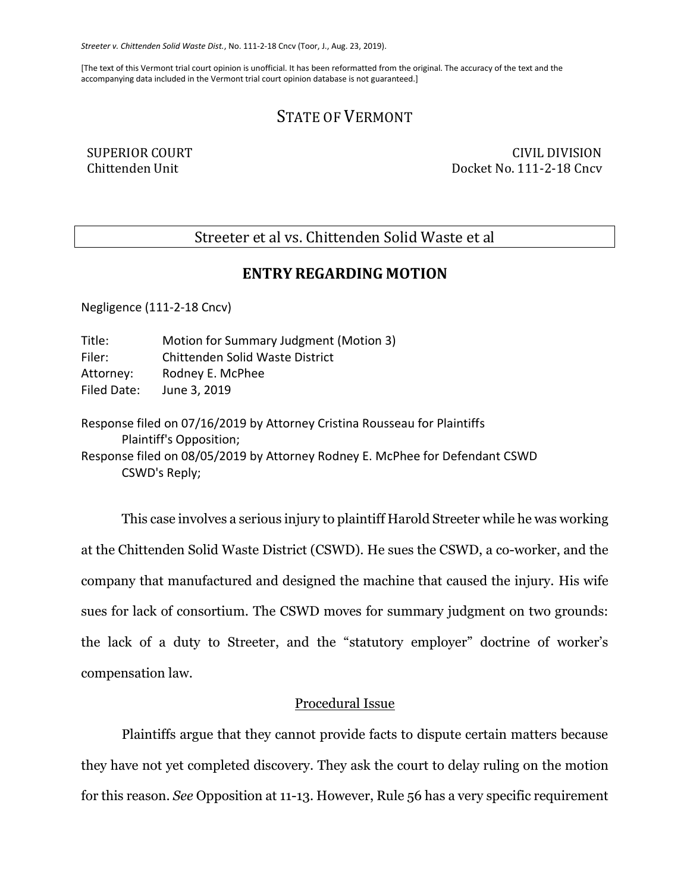*Streeter v. Chittenden Solid Waste Dist.*, No. 111-2-18 Cncv (Toor, J., Aug. 23, 2019).

[The text of this Vermont trial court opinion is unofficial. It has been reformatted from the original. The accuracy of the text and the accompanying data included in the Vermont trial court opinion database is not guaranteed.]

# STATE OF VERMONT

SUPERIOR COURT CIVIL DIVISION Chittenden Unit Docket No. 111-2-18 Cncv

## Streeter et al vs. Chittenden Solid Waste et al

## **ENTRY REGARDING MOTION**

Negligence (111-2-18 Cncv)

| Title:      | Motion for Summary Judgment (Motion 3) |
|-------------|----------------------------------------|
| Filer:      | Chittenden Solid Waste District        |
| Attorney:   | Rodney E. McPhee                       |
| Filed Date: | June 3, 2019                           |

Response filed on 07/16/2019 by Attorney Cristina Rousseau for Plaintiffs Plaintiff's Opposition; Response filed on 08/05/2019 by Attorney Rodney E. McPhee for Defendant CSWD CSWD's Reply;

This case involves a serious injury to plaintiff Harold Streeter while he was working at the Chittenden Solid Waste District (CSWD). He sues the CSWD, a co-worker, and the company that manufactured and designed the machine that caused the injury. His wife sues for lack of consortium. The CSWD moves for summary judgment on two grounds: the lack of a duty to Streeter, and the "statutory employer" doctrine of worker's compensation law.

## Procedural Issue

Plaintiffs argue that they cannot provide facts to dispute certain matters because they have not yet completed discovery. They ask the court to delay ruling on the motion for this reason. *See* Opposition at 11-13. However, Rule 56 has a very specific requirement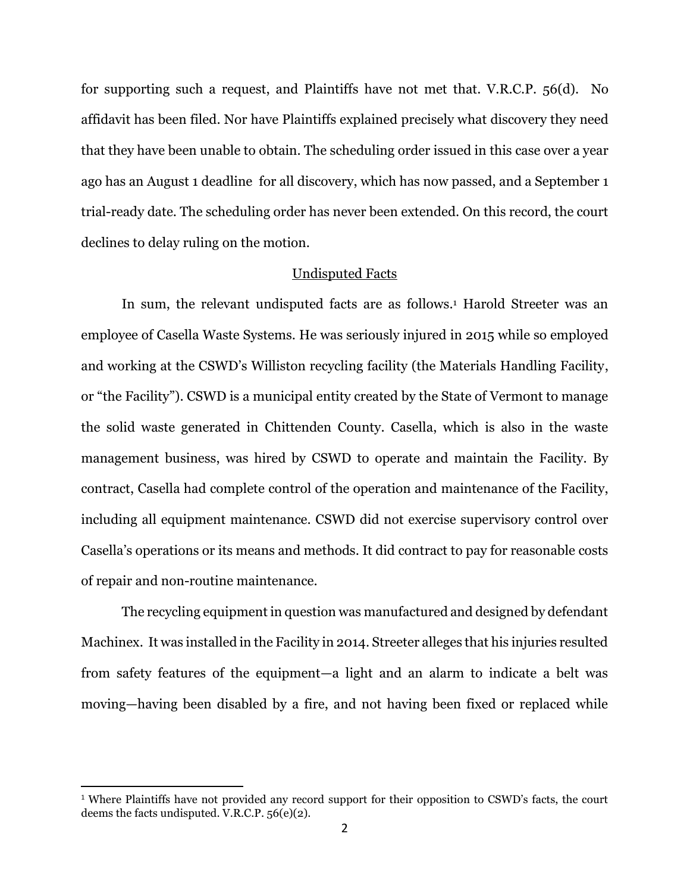for supporting such a request, and Plaintiffs have not met that. V.R.C.P. 56(d). No affidavit has been filed. Nor have Plaintiffs explained precisely what discovery they need that they have been unable to obtain. The scheduling order issued in this case over a year ago has an August 1 deadline for all discovery, which has now passed, and a September 1 trial-ready date. The scheduling order has never been extended. On this record, the court declines to delay ruling on the motion.

#### Undisputed Facts

In sum, the relevant undisputed facts are as follows.<sup>1</sup> Harold Streeter was an employee of Casella Waste Systems. He was seriously injured in 2015 while so employed and working at the CSWD's Williston recycling facility (the Materials Handling Facility, or "the Facility"). CSWD is a municipal entity created by the State of Vermont to manage the solid waste generated in Chittenden County. Casella, which is also in the waste management business, was hired by CSWD to operate and maintain the Facility. By contract, Casella had complete control of the operation and maintenance of the Facility, including all equipment maintenance. CSWD did not exercise supervisory control over Casella's operations or its means and methods. It did contract to pay for reasonable costs of repair and non-routine maintenance.

The recycling equipment in question was manufactured and designed by defendant Machinex. It was installed in the Facility in 2014. Streeter alleges that his injuries resulted from safety features of the equipment—a light and an alarm to indicate a belt was moving—having been disabled by a fire, and not having been fixed or replaced while

<sup>&</sup>lt;sup>1</sup> Where Plaintiffs have not provided any record support for their opposition to CSWD's facts, the court deems the facts undisputed. V.R.C.P. 56(e)(2).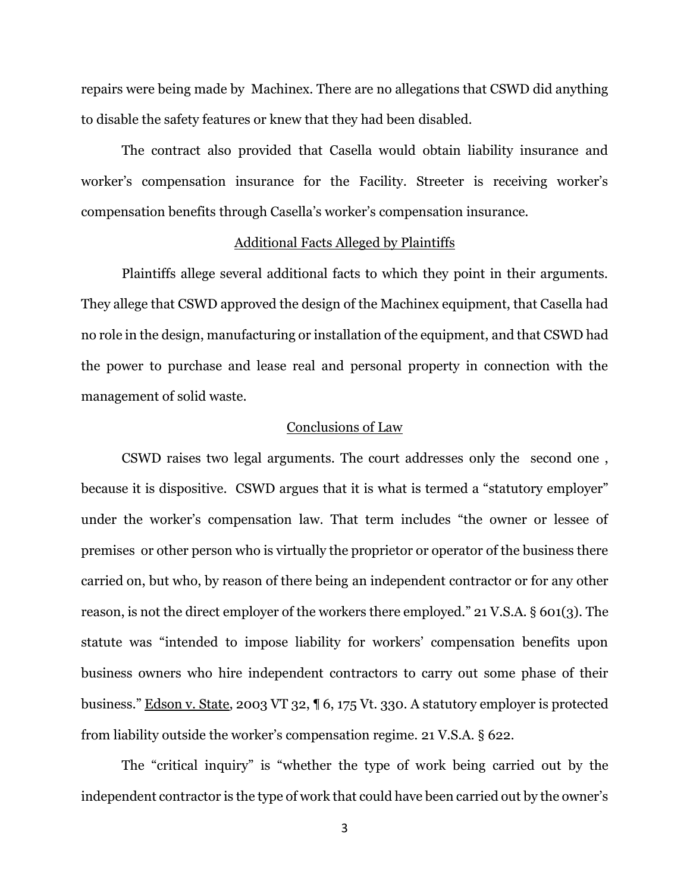repairs were being made by Machinex. There are no allegations that CSWD did anything to disable the safety features or knew that they had been disabled.

The contract also provided that Casella would obtain liability insurance and worker's compensation insurance for the Facility. Streeter is receiving worker's compensation benefits through Casella's worker's compensation insurance.

#### Additional Facts Alleged by Plaintiffs

Plaintiffs allege several additional facts to which they point in their arguments. They allege that CSWD approved the design of the Machinex equipment, that Casella had no role in the design, manufacturing or installation of the equipment, and that CSWD had the power to purchase and lease real and personal property in connection with the management of solid waste.

## Conclusions of Law

CSWD raises two legal arguments. The court addresses only the second one , because it is dispositive. CSWD argues that it is what is termed a "statutory employer" under the worker's compensation law. That term includes "the owner or lessee of premises or other person who is virtually the proprietor or operator of the business there carried on, but who, by reason of there being an independent contractor or for any other reason, is not the direct employer of the workers there employed." 21 V.S.A. § 601(3). The statute was "intended to impose liability for workers' compensation benefits upon business owners who hire independent contractors to carry out some phase of their business." Edson v. State, 2003 VT 32, ¶ 6, 175 Vt. 330. A statutory employer is protected from liability outside the worker's compensation regime. 21 V.S.A. § 622.

The "critical inquiry" is "whether the type of work being carried out by the independent contractor is the type of work that could have been carried out by the owner's

3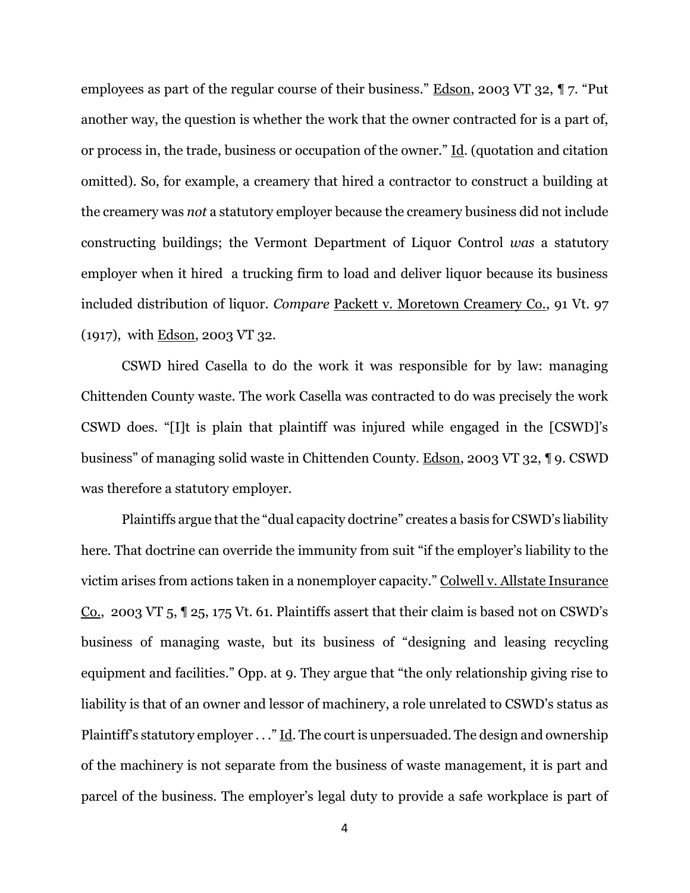employees as part of the regular course of their business." Edson, 2003 VT 32, ¶ 7. "Put another way, the question is whether the work that the owner contracted for is a part of, or process in, the trade, business or occupation of the owner." Id. (quotation and citation omitted). So, for example, a creamery that hired a contractor to construct a building at the creamery was *not* a statutory employer because the creamery business did not include constructing buildings; the Vermont Department of Liquor Control *was* a statutory employer when it hired a trucking firm to load and deliver liquor because its business included distribution of liquor. *Compare* Packett v. Moretown Creamery Co., 91 Vt. 97 (1917), with Edson, 2003 VT 32.

CSWD hired Casella to do the work it was responsible for by law: managing Chittenden County waste. The work Casella was contracted to do was precisely the work CSWD does. "[I]t is plain that plaintiff was injured while engaged in the [CSWD]'s business" of managing solid waste in Chittenden County. Edson, 2003 VT 32, ¶ 9. CSWD was therefore a statutory employer.

Plaintiffs argue that the "dual capacity doctrine" creates a basis for CSWD's liability here. That doctrine can override the immunity from suit "if the employer's liability to the victim arises from actions taken in a nonemployer capacity." Colwell v. Allstate Insurance Co., 2003 VT 5, ¶ 25, 175 Vt. 61. Plaintiffs assert that their claim is based not on CSWD's business of managing waste, but its business of "designing and leasing recycling equipment and facilities." Opp. at 9. They argue that "the only relationship giving rise to liability is that of an owner and lessor of machinery, a role unrelated to CSWD's status as Plaintiff's statutory employer  $\dots$ " Id. The court is unpersuaded. The design and ownership of the machinery is not separate from the business of waste management, it is part and parcel of the business. The employer's legal duty to provide a safe workplace is part of